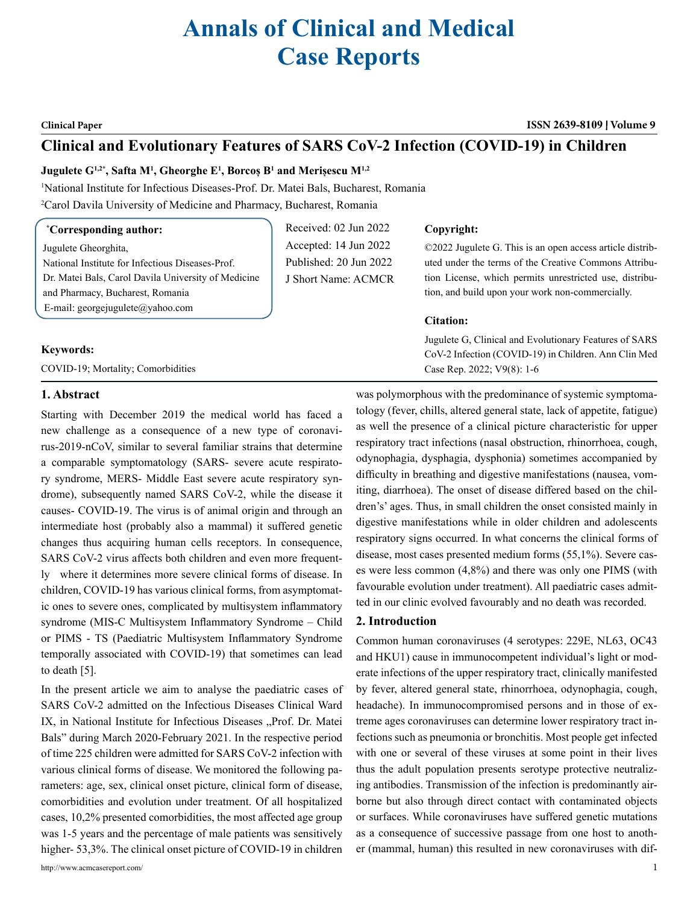# **Annals of Clinical and Medical Case Reports**

**Clinical Paper ISSN 2639-8109 Volume 9**

# **Clinical and Evolutionary Features of SARS CoV-2 Infection (COVID-19) in Children**

Received: 02 Jun 2022 Accepted: 14 Jun 2022 Published: 20 Jun 2022 J Short Name: ACMCR

# **Jugulete G1,2\*, Safta M1 , Gheorghe E1 , Borcoș B<sup>1</sup> and Merișescu M1,2**

1 National Institute for Infectious Diseases-Prof. Dr. Matei Bals, Bucharest, Romania 2 Carol Davila University of Medicine and Pharmacy, Bucharest, Romania

# **\* Corresponding author:**

Jugulete Gheorghita, National Institute for Infectious Diseases-Prof. Dr. Matei Bals, Carol Davila University of Medicine and Pharmacy, Bucharest, Romania E-mail: [georgejugulete@yahoo.com](mailto:georgejugulete@yahoo.com)

# **Keywords:**

COVID-19; Mortality; Comorbidities

# **Copyright:**

©2022 Jugulete G. This is an open access article distributed under the terms of the Creative Commons Attribution License, which permits unrestricted use, distribution, and build upon your work non-commercially.

# **Citation:**

Jugulete G, Clinical and Evolutionary Features of SARS CoV-2 Infection (COVID-19) in Children. Ann Clin Med Case Rep. 2022; V9(8): 1-6

# **1. Abstract**

Starting with December 2019 the medical world has faced a new challenge as a consequence of a new type of coronavirus-2019-nCoV, similar to several familiar strains that determine a comparable symptomatology (SARS- severe acute respiratory syndrome, MERS- Middle East severe acute respiratory syndrome), subsequently named SARS CoV-2, while the disease it causes- COVID-19. The virus is of animal origin and through an intermediate host (probably also a mammal) it suffered genetic changes thus acquiring human cells receptors. In consequence, SARS CoV-2 virus affects both children and even more frequently where it determines more severe clinical forms of disease. In children, COVID-19 has various clinical forms, from asymptomatic ones to severe ones, complicated by multisystem inflammatory syndrome (MIS-C Multisystem Inflammatory Syndrome – Child or PIMS - TS (Paediatric Multisystem Inflammatory Syndrome temporally associated with COVID-19) that sometimes can lead to death [5].

In the present article we aim to analyse the paediatric cases of SARS CoV-2 admitted on the Infectious Diseases Clinical Ward IX, in National Institute for Infectious Diseases "Prof. Dr. Matei Bals" during March 2020-February 2021. In the respective period of time 225 children were admitted for SARS CoV-2 infection with various clinical forms of disease. We monitored the following parameters: age, sex, clinical onset picture, clinical form of disease, comorbidities and evolution under treatment. Of all hospitalized cases, 10,2% presented comorbidities, the most affected age group was 1-5 years and the percentage of male patients was sensitively higher- 53,3%. The clinical onset picture of COVID-19 in children was polymorphous with the predominance of systemic symptomatology (fever, chills, altered general state, lack of appetite, fatigue) as well the presence of a clinical picture characteristic for upper respiratory tract infections (nasal obstruction, rhinorrhoea, cough, odynophagia, dysphagia, dysphonia) sometimes accompanied by difficulty in breathing and digestive manifestations (nausea, vomiting, diarrhoea). The onset of disease differed based on the children's' ages. Thus, in small children the onset consisted mainly in digestive manifestations while in older children and adolescents respiratory signs occurred. In what concerns the clinical forms of disease, most cases presented medium forms (55,1%). Severe cases were less common (4,8%) and there was only one PIMS (with favourable evolution under treatment). All paediatric cases admitted in our clinic evolved favourably and no death was recorded.

# **2. Introduction**

Common human coronaviruses (4 serotypes: 229E, NL63, OC43 and HKU1) cause in immunocompetent individual's light or moderate infections of the upper respiratory tract, clinically manifested by fever, altered general state, rhinorrhoea, odynophagia, cough, headache). In immunocompromised persons and in those of extreme ages coronaviruses can determine lower respiratory tract infections such as pneumonia or bronchitis. Most people get infected with one or several of these viruses at some point in their lives thus the adult population presents serotype protective neutralizing antibodies. Transmission of the infection is predominantly airborne but also through direct contact with contaminated objects or surfaces. While coronaviruses have suffered genetic mutations as a consequence of successive passage from one host to another (mammal, human) this resulted in new coronaviruses with dif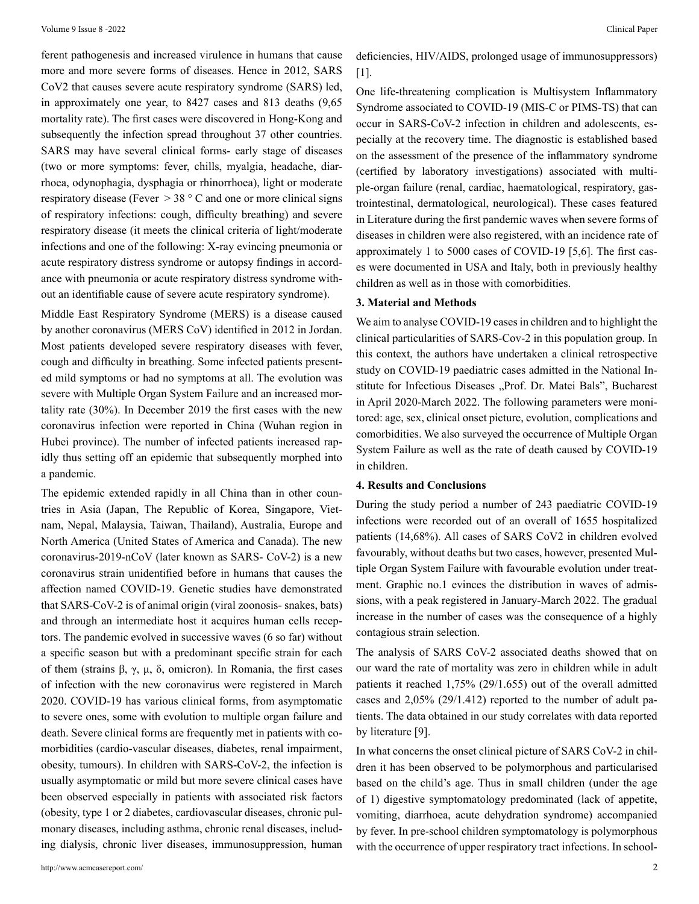ferent pathogenesis and increased virulence in humans that cause more and more severe forms of diseases. Hence in 2012, SARS CoV2 that causes severe acute respiratory syndrome (SARS) led, in approximately one year, to 8427 cases and 813 deaths (9,65 mortality rate). The first cases were discovered in Hong-Kong and subsequently the infection spread throughout 37 other countries. SARS may have several clinical forms- early stage of diseases (two or more symptoms: fever, chills, myalgia, headache, diarrhoea, odynophagia, dysphagia or rhinorrhoea), light or moderate respiratory disease (Fever  $> 38 \degree$  C and one or more clinical signs of respiratory infections: cough, difficulty breathing) and severe respiratory disease (it meets the clinical criteria of light/moderate infections and one of the following: X-ray evincing pneumonia or acute respiratory distress syndrome or autopsy findings in accordance with pneumonia or acute respiratory distress syndrome without an identifiable cause of severe acute respiratory syndrome).

Middle East Respiratory Syndrome (MERS) is a disease caused by another coronavirus (MERS CoV) identified in 2012 in Jordan. Most patients developed severe respiratory diseases with fever, cough and difficulty in breathing. Some infected patients presented mild symptoms or had no symptoms at all. The evolution was severe with Multiple Organ System Failure and an increased mortality rate (30%). In December 2019 the first cases with the new coronavirus infection were reported in China (Wuhan region in Hubei province). The number of infected patients increased rapidly thus setting off an epidemic that subsequently morphed into a pandemic.

The epidemic extended rapidly in all China than in other countries in Asia (Japan, The Republic of Korea, Singapore, Vietnam, Nepal, Malaysia, Taiwan, Thailand), Australia, Europe and North America (United States of America and Canada). The new coronavirus-2019-nCoV (later known as SARS- CoV-2) is a new coronavirus strain unidentified before in humans that causes the affection named COVID-19. Genetic studies have demonstrated that SARS-CoV-2 is of animal origin (viral zoonosis- snakes, bats) and through an intermediate host it acquires human cells receptors. The pandemic evolved in successive waves (6 so far) without a specific season but with a predominant specific strain for each of them (strains β, γ, μ, δ, omicron). In Romania, the first cases of infection with the new coronavirus were registered in March 2020. COVID-19 has various clinical forms, from asymptomatic to severe ones, some with evolution to multiple organ failure and death. Severe clinical forms are frequently met in patients with comorbidities (cardio-vascular diseases, diabetes, renal impairment, obesity, tumours). In children with SARS-CoV-2, the infection is usually asymptomatic or mild but more severe clinical cases have been observed especially in patients with associated risk factors (obesity, type 1 or 2 diabetes, cardiovascular diseases, chronic pulmonary diseases, including asthma, chronic renal diseases, including dialysis, chronic liver diseases, immunosuppression, human

deficiencies, HIV/AIDS, prolonged usage of immunosuppressors) [1].

One life-threatening complication is Multisystem Inflammatory Syndrome associated to COVID-19 (MIS-C or PIMS-TS) that can occur in SARS-CoV-2 infection in children and adolescents, especially at the recovery time. The diagnostic is established based on the assessment of the presence of the inflammatory syndrome (certified by laboratory investigations) associated with multiple-organ failure (renal, cardiac, haematological, respiratory, gastrointestinal, dermatological, neurological). These cases featured in Literature during the first pandemic waves when severe forms of diseases in children were also registered, with an incidence rate of approximately 1 to 5000 cases of COVID-19 [5,6]. The first cases were documented in USA and Italy, both in previously healthy children as well as in those with comorbidities.

# **3. Material and Methods**

We aim to analyse COVID-19 cases in children and to highlight the clinical particularities of SARS-Cov-2 in this population group. In this context, the authors have undertaken a clinical retrospective study on COVID-19 paediatric cases admitted in the National Institute for Infectious Diseases "Prof. Dr. Matei Bals", Bucharest in April 2020-March 2022. The following parameters were monitored: age, sex, clinical onset picture, evolution, complications and comorbidities. We also surveyed the occurrence of Multiple Organ System Failure as well as the rate of death caused by COVID-19 in children.

### **4. Results and Conclusions**

During the study period a number of 243 paediatric COVID-19 infections were recorded out of an overall of 1655 hospitalized patients (14,68%). All cases of SARS CoV2 in children evolved favourably, without deaths but two cases, however, presented Multiple Organ System Failure with favourable evolution under treatment. Graphic no.1 evinces the distribution in waves of admissions, with a peak registered in January-March 2022. The gradual increase in the number of cases was the consequence of a highly contagious strain selection.

The analysis of SARS CoV-2 associated deaths showed that on our ward the rate of mortality was zero in children while in adult patients it reached 1,75% (29/1.655) out of the overall admitted cases and 2,05% (29/1.412) reported to the number of adult patients. The data obtained in our study correlates with data reported by literature [9].

In what concerns the onset clinical picture of SARS CoV-2 in children it has been observed to be polymorphous and particularised based on the child's age. Thus in small children (under the age of 1) digestive symptomatology predominated (lack of appetite, vomiting, diarrhoea, acute dehydration syndrome) accompanied by fever. In pre-school children symptomatology is polymorphous with the occurrence of upper respiratory tract infections. In school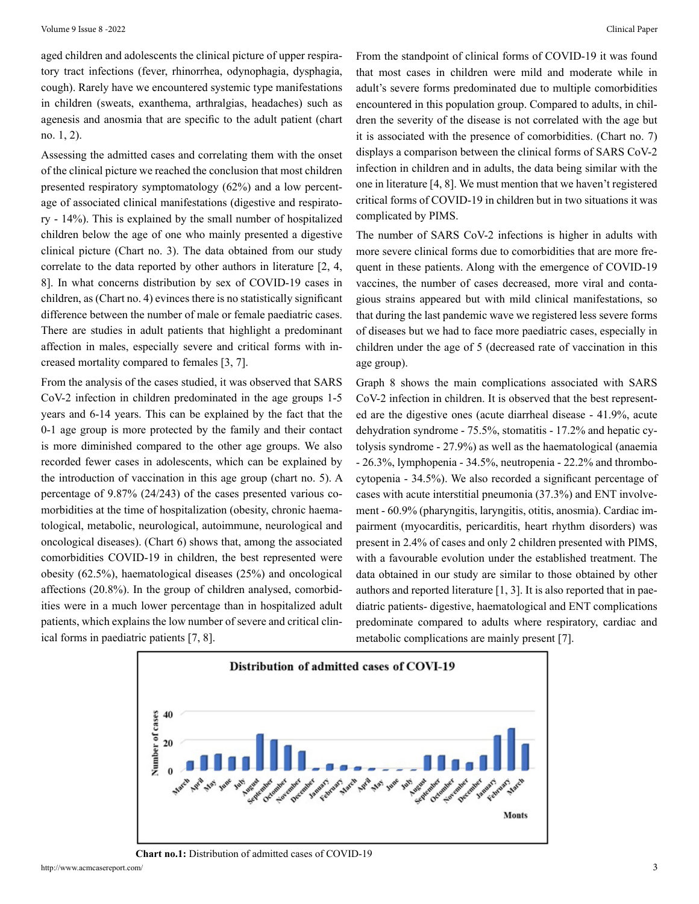aged children and adolescents the clinical picture of upper respiratory tract infections (fever, rhinorrhea, odynophagia, dysphagia, cough). Rarely have we encountered systemic type manifestations in children (sweats, exanthema, arthralgias, headaches) such as agenesis and anosmia that are specific to the adult patient (chart no. 1, 2).

Assessing the admitted cases and correlating them with the onset of the clinical picture we reached the conclusion that most children presented respiratory symptomatology (62%) and a low percentage of associated clinical manifestations (digestive and respiratory - 14%). This is explained by the small number of hospitalized children below the age of one who mainly presented a digestive clinical picture (Chart no. 3). The data obtained from our study correlate to the data reported by other authors in literature [2, 4, 8]. In what concerns distribution by sex of COVID-19 cases in children, as (Chart no. 4) evinces there is no statistically significant difference between the number of male or female paediatric cases. There are studies in adult patients that highlight a predominant affection in males, especially severe and critical forms with increased mortality compared to females [3, 7].

From the analysis of the cases studied, it was observed that SARS CoV-2 infection in children predominated in the age groups 1-5 years and 6-14 years. This can be explained by the fact that the 0-1 age group is more protected by the family and their contact is more diminished compared to the other age groups. We also recorded fewer cases in adolescents, which can be explained by the introduction of vaccination in this age group (chart no. 5). A percentage of 9.87% (24/243) of the cases presented various comorbidities at the time of hospitalization (obesity, chronic haematological, metabolic, neurological, autoimmune, neurological and oncological diseases). (Chart 6) shows that, among the associated comorbidities COVID-19 in children, the best represented were obesity (62.5%), haematological diseases (25%) and oncological affections (20.8%). In the group of children analysed, comorbidities were in a much lower percentage than in hospitalized adult patients, which explains the low number of severe and critical clinical forms in paediatric patients [7, 8].

From the standpoint of clinical forms of COVID-19 it was found that most cases in children were mild and moderate while in adult's severe forms predominated due to multiple comorbidities encountered in this population group. Compared to adults, in children the severity of the disease is not correlated with the age but it is associated with the presence of comorbidities. (Chart no. 7) displays a comparison between the clinical forms of SARS CoV-2 infection in children and in adults, the data being similar with the one in literature [4, 8]. We must mention that we haven't registered critical forms of COVID-19 in children but in two situations it was complicated by PIMS.

The number of SARS CoV-2 infections is higher in adults with more severe clinical forms due to comorbidities that are more frequent in these patients. Along with the emergence of COVID-19 vaccines, the number of cases decreased, more viral and contagious strains appeared but with mild clinical manifestations, so that during the last pandemic wave we registered less severe forms of diseases but we had to face more paediatric cases, especially in children under the age of 5 (decreased rate of vaccination in this age group).

Graph 8 shows the main complications associated with SARS CoV-2 infection in children. It is observed that the best represented are the digestive ones (acute diarrheal disease - 41.9%, acute dehydration syndrome - 75.5%, stomatitis - 17.2% and hepatic cytolysis syndrome - 27.9%) as well as the haematological (anaemia - 26.3%, lymphopenia - 34.5%, neutropenia - 22.2% and thrombocytopenia - 34.5%). We also recorded a significant percentage of cases with acute interstitial pneumonia (37.3%) and ENT involvement - 60.9% (pharyngitis, laryngitis, otitis, anosmia). Cardiac impairment (myocarditis, pericarditis, heart rhythm disorders) was present in 2.4% of cases and only 2 children presented with PIMS, with a favourable evolution under the established treatment. The data obtained in our study are similar to those obtained by other authors and reported literature [1, 3]. It is also reported that in paediatric patients- digestive, haematological and ENT complications predominate compared to adults where respiratory, cardiac and metabolic complications are mainly present [7].



#### **Chart no.1:** Distribution of admitted cases of COVID-19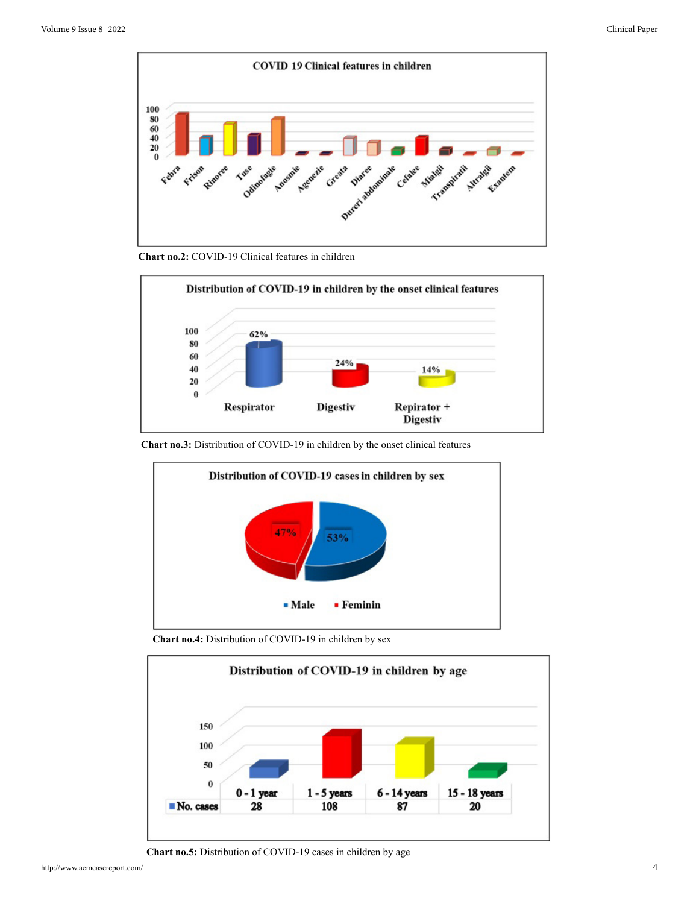

**Chart no.2:** COVID-19 Clinical features in children



**Chart no.3:** Distribution of COVID-19 in children by the onset clinical features



**Chart no.4:** Distribution of COVID-19 in children by sex



**Chart no.5:** Distribution of COVID-19 cases in children by age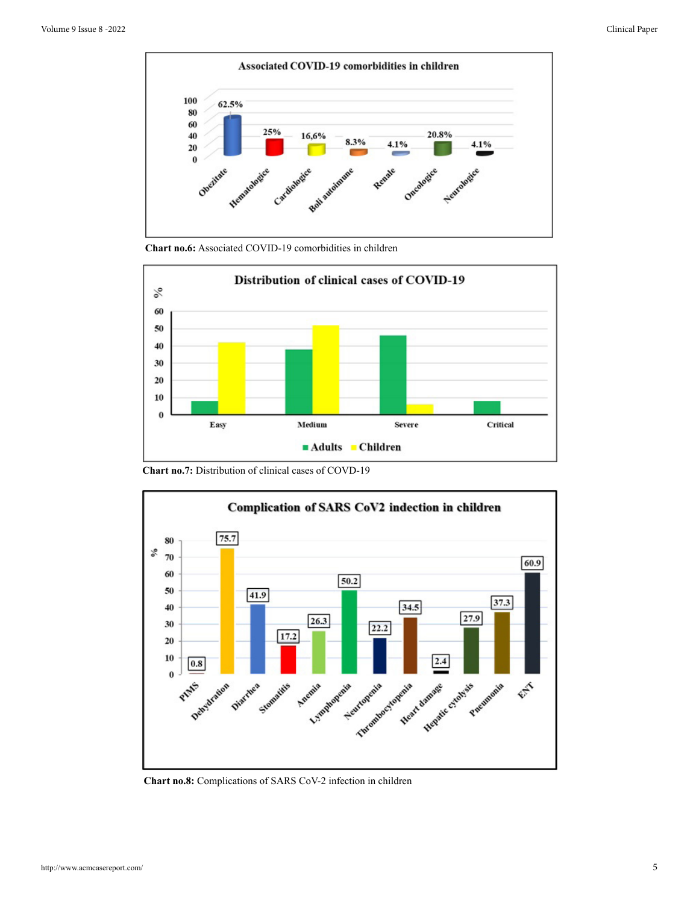

**Chart no.6:** Associated COVID-19 comorbidities in children



**Chart no.7:** Distribution of clinical cases of COVD-19



**Chart no.8:** Complications of SARS CoV-2 infection in children